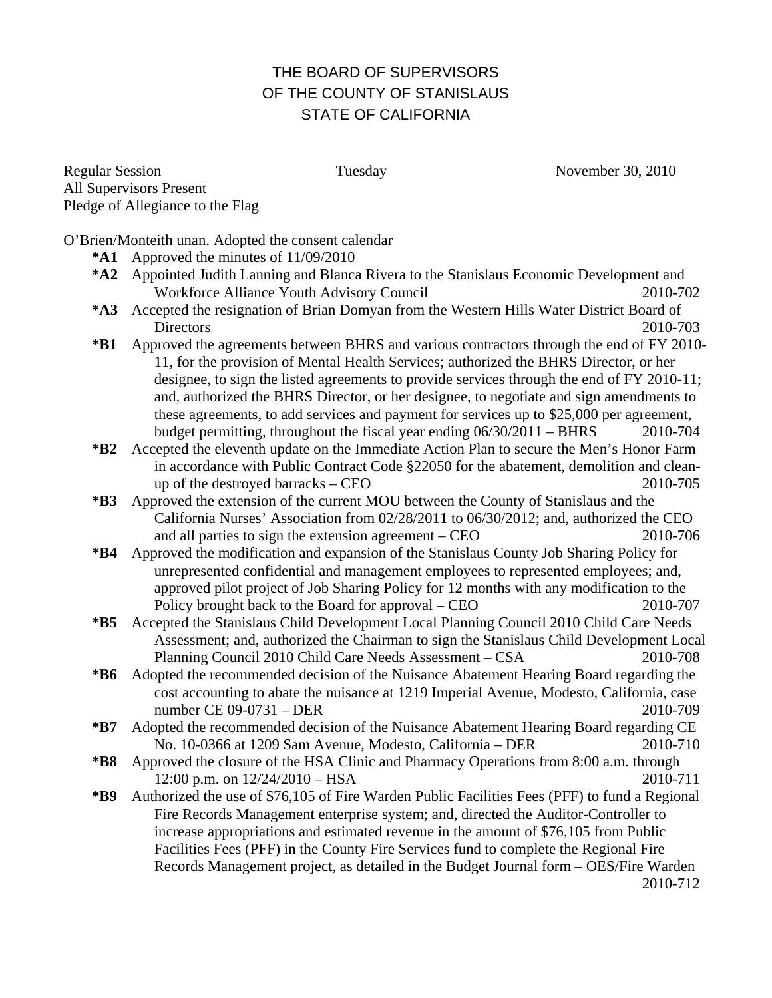## THE BOARD OF SUPERVISORS OF THE COUNTY OF STANISLAUS STATE OF CALIFORNIA

Regular Session Tuesday Tuesday November 30, 2010 All Supervisors Present Pledge of Allegiance to the Flag

O'Brien/Monteith unan. Adopted the consent calendar

- **\*A1** Approved the minutes of 11/09/2010
- **\*A2** Appointed Judith Lanning and Blanca Rivera to the Stanislaus Economic Development and Workforce Alliance Youth Advisory Council 2010-702
- **\*A3** Accepted the resignation of Brian Domyan from the Western Hills Water District Board of Directors 2010-703
- **\*B1** Approved the agreements between BHRS and various contractors through the end of FY 2010- 11, for the provision of Mental Health Services; authorized the BHRS Director, or her designee, to sign the listed agreements to provide services through the end of FY 2010-11; and, authorized the BHRS Director, or her designee, to negotiate and sign amendments to these agreements, to add services and payment for services up to \$25,000 per agreement, budget permitting, throughout the fiscal year ending  $06/30/2011 - BHRS$  2010-704
- **\*B2** Accepted the eleventh update on the Immediate Action Plan to secure the Men's Honor Farm in accordance with Public Contract Code §22050 for the abatement, demolition and cleanup of the destroyed barracks – CEO 2010-705
- **\*B3** Approved the extension of the current MOU between the County of Stanislaus and the California Nurses' Association from 02/28/2011 to 06/30/2012; and, authorized the CEO and all parties to sign the extension agreement – CEO 2010-706
- **\*B4** Approved the modification and expansion of the Stanislaus County Job Sharing Policy for unrepresented confidential and management employees to represented employees; and, approved pilot project of Job Sharing Policy for 12 months with any modification to the Policy brought back to the Board for approval – CEO 2010-707
- **\*B5** Accepted the Stanislaus Child Development Local Planning Council 2010 Child Care Needs Assessment; and, authorized the Chairman to sign the Stanislaus Child Development Local Planning Council 2010 Child Care Needs Assessment – CSA 2010-708
- **\*B6** Adopted the recommended decision of the Nuisance Abatement Hearing Board regarding the cost accounting to abate the nuisance at 1219 Imperial Avenue, Modesto, California, case number CE 09-0731 – DER 2010-709
- **\*B7** Adopted the recommended decision of the Nuisance Abatement Hearing Board regarding CE No. 10-0366 at 1209 Sam Avenue, Modesto, California – DER 2010-710
- **\*B8** Approved the closure of the HSA Clinic and Pharmacy Operations from 8:00 a.m. through 12:00 p.m. on 12/24/2010 – HSA 2010-711
- **\*B9** Authorized the use of \$76,105 of Fire Warden Public Facilities Fees (PFF) to fund a Regional Fire Records Management enterprise system; and, directed the Auditor-Controller to increase appropriations and estimated revenue in the amount of \$76,105 from Public Facilities Fees (PFF) in the County Fire Services fund to complete the Regional Fire Records Management project, as detailed in the Budget Journal form – OES/Fire Warden 2010-712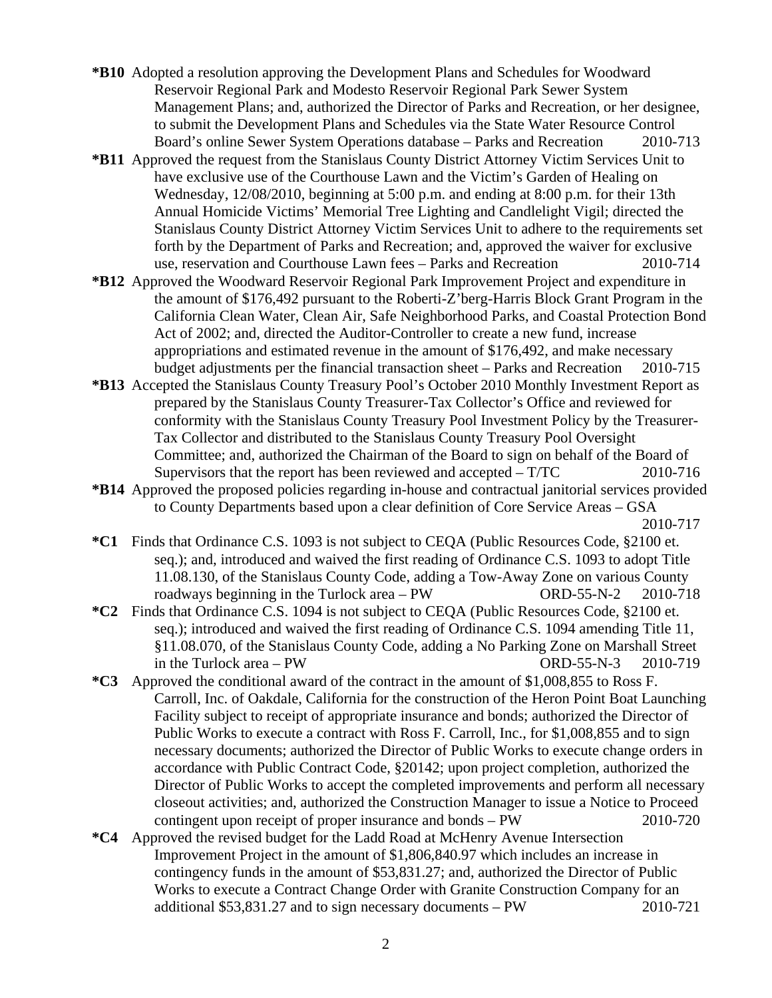- **\*B10** Adopted a resolution approving the Development Plans and Schedules for Woodward Reservoir Regional Park and Modesto Reservoir Regional Park Sewer System Management Plans; and, authorized the Director of Parks and Recreation, or her designee, to submit the Development Plans and Schedules via the State Water Resource Control Board's online Sewer System Operations database – Parks and Recreation 2010-713
- **\*B11** Approved the request from the Stanislaus County District Attorney Victim Services Unit to have exclusive use of the Courthouse Lawn and the Victim's Garden of Healing on Wednesday, 12/08/2010, beginning at 5:00 p.m. and ending at 8:00 p.m. for their 13th Annual Homicide Victims' Memorial Tree Lighting and Candlelight Vigil; directed the Stanislaus County District Attorney Victim Services Unit to adhere to the requirements set forth by the Department of Parks and Recreation; and, approved the waiver for exclusive use, reservation and Courthouse Lawn fees – Parks and Recreation 2010-714
- **\*B12** Approved the Woodward Reservoir Regional Park Improvement Project and expenditure in the amount of \$176,492 pursuant to the Roberti-Z'berg-Harris Block Grant Program in the California Clean Water, Clean Air, Safe Neighborhood Parks, and Coastal Protection Bond Act of 2002; and, directed the Auditor-Controller to create a new fund, increase appropriations and estimated revenue in the amount of \$176,492, and make necessary budget adjustments per the financial transaction sheet – Parks and Recreation 2010-715
- **\*B13** Accepted the Stanislaus County Treasury Pool's October 2010 Monthly Investment Report as prepared by the Stanislaus County Treasurer-Tax Collector's Office and reviewed for conformity with the Stanislaus County Treasury Pool Investment Policy by the Treasurer-Tax Collector and distributed to the Stanislaus County Treasury Pool Oversight Committee; and, authorized the Chairman of the Board to sign on behalf of the Board of Supervisors that the report has been reviewed and accepted – T/TC 2010-716
- **\*B14** Approved the proposed policies regarding in-house and contractual janitorial services provided to County Departments based upon a clear definition of Core Service Areas – GSA 2010-717

- **\*C1** Finds that Ordinance C.S. 1093 is not subject to CEQA (Public Resources Code, §2100 et. seq.); and, introduced and waived the first reading of Ordinance C.S. 1093 to adopt Title 11.08.130, of the Stanislaus County Code, adding a Tow-Away Zone on various County roadways beginning in the Turlock area – PW ORD-55-N-2 2010-718
- **\*C2** Finds that Ordinance C.S. 1094 is not subject to CEQA (Public Resources Code, §2100 et. seq.); introduced and waived the first reading of Ordinance C.S. 1094 amending Title 11, §11.08.070, of the Stanislaus County Code, adding a No Parking Zone on Marshall Street in the Turlock area – PW ORD-55-N-3 2010-719
- **\*C3** Approved the conditional award of the contract in the amount of \$1,008,855 to Ross F. Carroll, Inc. of Oakdale, California for the construction of the Heron Point Boat Launching Facility subject to receipt of appropriate insurance and bonds; authorized the Director of Public Works to execute a contract with Ross F. Carroll, Inc., for \$1,008,855 and to sign necessary documents; authorized the Director of Public Works to execute change orders in accordance with Public Contract Code, §20142; upon project completion, authorized the Director of Public Works to accept the completed improvements and perform all necessary closeout activities; and, authorized the Construction Manager to issue a Notice to Proceed contingent upon receipt of proper insurance and bonds – PW 2010-720
- **\*C4** Approved the revised budget for the Ladd Road at McHenry Avenue Intersection Improvement Project in the amount of \$1,806,840.97 which includes an increase in contingency funds in the amount of \$53,831.27; and, authorized the Director of Public Works to execute a Contract Change Order with Granite Construction Company for an additional \$53,831.27 and to sign necessary documents – PW 2010-721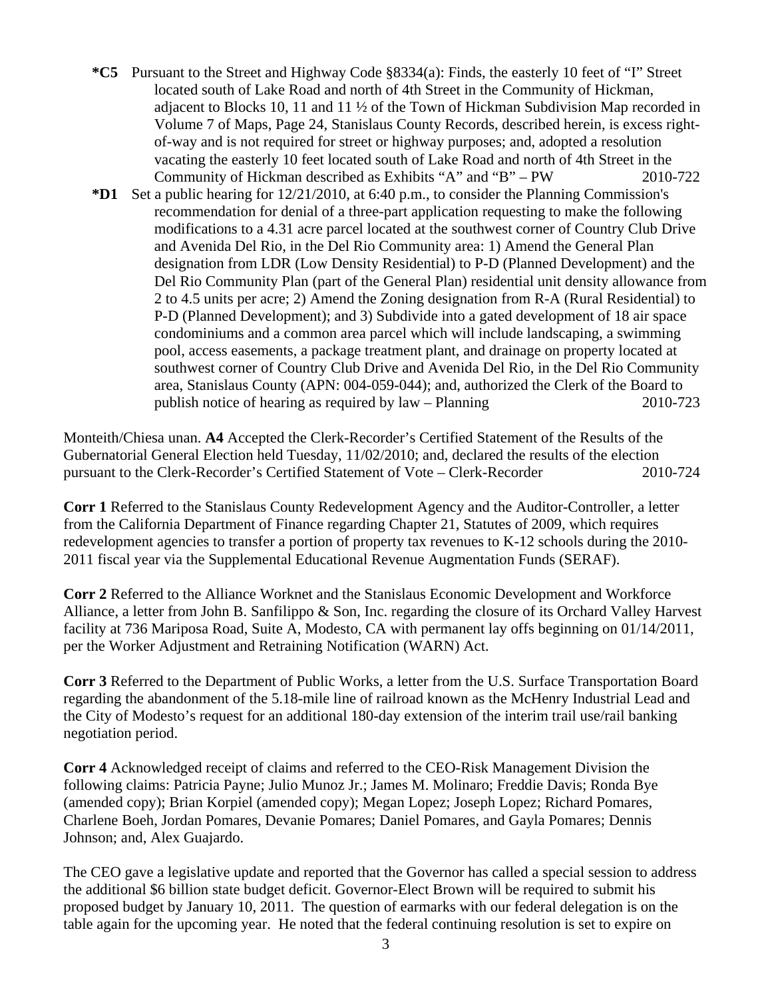- **\*C5** Pursuant to the Street and Highway Code §8334(a): Finds, the easterly 10 feet of "I" Street located south of Lake Road and north of 4th Street in the Community of Hickman, adjacent to Blocks 10, 11 and 11 ½ of the Town of Hickman Subdivision Map recorded in Volume 7 of Maps, Page 24, Stanislaus County Records, described herein, is excess rightof-way and is not required for street or highway purposes; and, adopted a resolution vacating the easterly 10 feet located south of Lake Road and north of 4th Street in the Community of Hickman described as Exhibits "A" and "B" – PW 2010-722
- **\*D1** Set a public hearing for 12/21/2010, at 6:40 p.m., to consider the Planning Commission's recommendation for denial of a three-part application requesting to make the following modifications to a 4.31 acre parcel located at the southwest corner of Country Club Drive and Avenida Del Rio, in the Del Rio Community area: 1) Amend the General Plan designation from LDR (Low Density Residential) to P-D (Planned Development) and the Del Rio Community Plan (part of the General Plan) residential unit density allowance from 2 to 4.5 units per acre; 2) Amend the Zoning designation from R-A (Rural Residential) to P-D (Planned Development); and 3) Subdivide into a gated development of 18 air space condominiums and a common area parcel which will include landscaping, a swimming pool, access easements, a package treatment plant, and drainage on property located at southwest corner of Country Club Drive and Avenida Del Rio, in the Del Rio Community area, Stanislaus County (APN: 004-059-044); and, authorized the Clerk of the Board to publish notice of hearing as required by law – Planning 2010-723

Monteith/Chiesa unan. **A4** Accepted the Clerk-Recorder's Certified Statement of the Results of the Gubernatorial General Election held Tuesday, 11/02/2010; and, declared the results of the election pursuant to the Clerk-Recorder's Certified Statement of Vote – Clerk-Recorder 2010-724

**Corr 1** Referred to the Stanislaus County Redevelopment Agency and the Auditor-Controller, a letter from the California Department of Finance regarding Chapter 21, Statutes of 2009, which requires redevelopment agencies to transfer a portion of property tax revenues to K-12 schools during the 2010- 2011 fiscal year via the Supplemental Educational Revenue Augmentation Funds (SERAF).

**Corr 2** Referred to the Alliance Worknet and the Stanislaus Economic Development and Workforce Alliance, a letter from John B. Sanfilippo & Son, Inc. regarding the closure of its Orchard Valley Harvest facility at 736 Mariposa Road, Suite A, Modesto, CA with permanent lay offs beginning on 01/14/2011, per the Worker Adjustment and Retraining Notification (WARN) Act.

**Corr 3** Referred to the Department of Public Works, a letter from the U.S. Surface Transportation Board regarding the abandonment of the 5.18-mile line of railroad known as the McHenry Industrial Lead and the City of Modesto's request for an additional 180-day extension of the interim trail use/rail banking negotiation period.

**Corr 4** Acknowledged receipt of claims and referred to the CEO-Risk Management Division the following claims: Patricia Payne; Julio Munoz Jr.; James M. Molinaro; Freddie Davis; Ronda Bye (amended copy); Brian Korpiel (amended copy); Megan Lopez; Joseph Lopez; Richard Pomares, Charlene Boeh, Jordan Pomares, Devanie Pomares; Daniel Pomares, and Gayla Pomares; Dennis Johnson; and, Alex Guajardo.

The CEO gave a legislative update and reported that the Governor has called a special session to address the additional \$6 billion state budget deficit. Governor-Elect Brown will be required to submit his proposed budget by January 10, 2011. The question of earmarks with our federal delegation is on the table again for the upcoming year. He noted that the federal continuing resolution is set to expire on